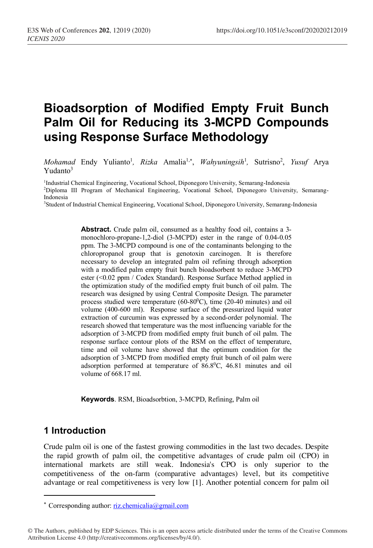# **Bioadsorption of Modified Empty Fruit Bunch Palm Oil for Reducing its 3-MCPD Compounds using Response Surface Methodology**

Mohamad Endy Yulianto<sup>1</sup>, Rizka Amalia<sup>1,\*</sup>, Wahyuningsih<sup>1</sup>, Sutrisno<sup>2</sup>, Yusuf Arya  $Yudanto<sup>3</sup>$ 

<sup>1</sup>Industrial Chemical Engineering, Vocational School, Diponegoro University, Semarang-Indonesia

2 Diploma III Program of Mechanical Engineering, Vocational School, Diponegoro University, Semarang-Indonesia

3 Student of Industrial Chemical Engineering, Vocational School, Diponegoro University, Semarang-Indonesia

**Abstract.** Crude palm oil, consumed as a healthy food oil, contains a 3 monochloro-propane-1,2-diol (3-MCPD) ester in the range of 0.04-0.05 ppm. The 3-MCPD compound is one of the contaminants belonging to the chloropropanol group that is genotoxin carcinogen. It is therefore necessary to develop an integrated palm oil refining through adsorption with a modified palm empty fruit bunch bioadsorbent to reduce 3-MCPD ester (<0.02 ppm / Codex Standard). Response Surface Method applied in the optimization study of the modified empty fruit bunch of oil palm. The research was designed by using Central Composite Design. The parameter process studied were temperature  $(60-80^{\circ}\text{C})$ , time  $(20-40 \text{ minutes})$  and oil volume (400-600 ml). Response surface of the pressurized liquid water extraction of curcumin was expressed by a second-order polynomial. The research showed that temperature was the most influencing variable for the adsorption of 3-MCPD from modified empty fruit bunch of oil palm. The response surface contour plots of the RSM on the effect of temperature, time and oil volume have showed that the optimum condition for the adsorption of 3-MCPD from modified empty fruit bunch of oil palm were adsorption performed at temperature of 86.80 C, 46.81 minutes and oil volume of 668.17 ml.

**Keywords**. RSM, Bioadsorbtion, 3-MCPD, Refining, Palm oil

## **1 Introduction**

Crude palm oil is one of the fastest growing commodities in the last two decades. Despite the rapid growth of palm oil, the competitive advantages of crude palm oil (CPO) in international markets are still weak. Indonesia's CPO is only superior to the competitiveness of the on-farm (comparative advantages) level, but its competitive advantage or real competitiveness is very low [1]. Another potential concern for palm oil

<sup>\*</sup> Corresponding author: riz.chemicalia@gmail.com

<sup>©</sup> The Authors, published by EDP Sciences. This is an open access article distributed under the terms of the Creative Commons Attribution License 4.0 (http://creativecommons.org/licenses/by/4.0/).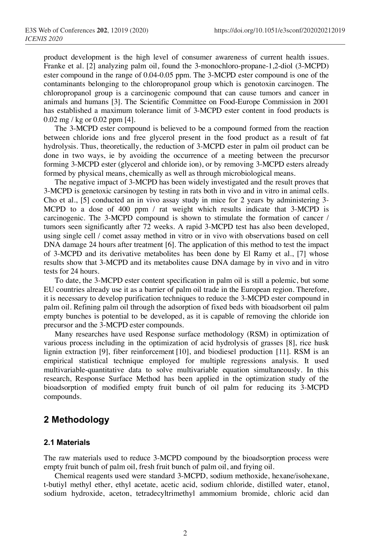product development is the high level of consumer awareness of current health issues. Franke et al. [2] analyzing palm oil, found the 3-monochloro-propane-1,2-diol (3-MCPD) ester compound in the range of 0.04-0.05 ppm. The 3-MCPD ester compound is one of the contaminants belonging to the chloropropanol group which is genotoxin carcinogen. The chloropropanol group is a carcinogenic compound that can cause tumors and cancer in animals and humans [3]. The Scientific Committee on Food-Europe Commission in 2001 has established a maximum tolerance limit of 3-MCPD ester content in food products is 0.02 mg / kg or 0.02 ppm [4].

The 3-MCPD ester compound is believed to be a compound formed from the reaction between chloride ions and free glycerol present in the food product as a result of fat hydrolysis. Thus, theoretically, the reduction of 3-MCPD ester in palm oil product can be done in two ways, ie by avoiding the occurrence of a meeting between the precursor forming 3-MCPD ester (glycerol and chloride ion), or by removing 3-MCPD esters already formed by physical means, chemically as well as through microbiological means.

The negative impact of 3-MCPD has been widely investigated and the result proves that 3-MCPD is genetoxic carsinogen by testing in rats both in vivo and in vitro in animal cells. Cho et al., [5] conducted an in vivo assay study in mice for 2 years by administering 3- MCPD to a dose of 400 ppm / rat weight which results indicate that 3-MCPD is carcinogenic. The 3-MCPD compound is shown to stimulate the formation of cancer / tumors seen significantly after 72 weeks. A rapid 3-MCPD test has also been developed, using single cell / comet assay method in vitro or in vivo with observations based on cell DNA damage 24 hours after treatment [6]. The application of this method to test the impact of 3-MCPD and its derivative metabolites has been done by El Ramy et al., [7] whose results show that 3-MCPD and its metabolites cause DNA damage by in vivo and in vitro tests for 24 hours.

To date, the 3-MCPD ester content specification in palm oil is still a polemic, but some EU countries already use it as a barrier of palm oil trade in the European region. Therefore, it is necessary to develop purification techniques to reduce the 3-MCPD ester compound in palm oil. Refining palm oil through the adsorption of fixed beds with bioadsorbent oil palm empty bunches is potential to be developed, as it is capable of removing the chloride ion precursor and the 3-MCPD ester compounds.

Many researches have used Response surface methodology (RSM) in optimization of various process including in the optimization of acid hydrolysis of grasses [8], rice husk lignin extraction [9], fiber reinforcement [10], and biodiesel production [11]. RSM is an empirical statistical technique employed for multiple regressions analysis. It used multivariable-quantitative data to solve multivariable equation simultaneously. In this research, Response Surface Method has been applied in the optimization study of the bioadsorption of modified empty fruit bunch of oil palm for reducing its 3-MCPD compounds.

## **2 Methodology**

#### **2.1 Materials**

The raw materials used to reduce 3-MCPD compound by the bioadsorption process were empty fruit bunch of palm oil, fresh fruit bunch of palm oil, and frying oil.

Chemical reagents used were standard 3-MCPD, sodium methoxide, hexane/isohexane, t-butiyl methyl ether, ethyl acetate, acetic acid, sodium chloride, distilled water, etanol, sodium hydroxide, aceton, tetradecyltrimethyl ammomium bromide, chloric acid dan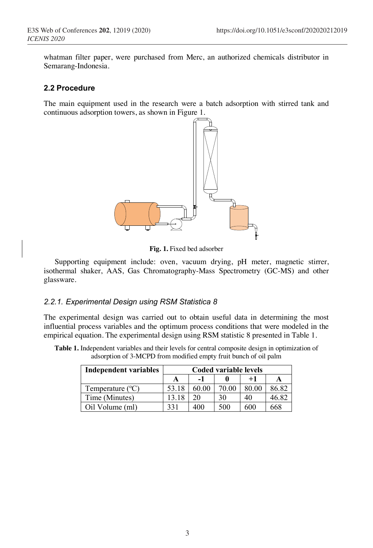whatman filter paper, were purchased from Merc, an authorized chemicals distributor in Semarang-Indonesia.

#### **2.2 Procedure**

The main equipment used in the research were a batch adsorption with stirred tank and continuous adsorption towers, as shown in Figure 1.



**Fig. 1.** Fixed bed adsorber

Supporting equipment include: oven, vacuum drying, pH meter, magnetic stirrer, isothermal shaker, AAS, Gas Chromatography-Mass Spectrometry (GC-MS) and other glassware.

#### *2.2.1. Experimental Design using RSM Statistica 8*

The experimental design was carried out to obtain useful data in determining the most influential process variables and the optimum process conditions that were modeled in the empirical equation. The experimental design using RSM statistic 8 presented in Table 1.

| <b>Table 1.</b> Independent variables and their levels for central composite design in optimization of |  |
|--------------------------------------------------------------------------------------------------------|--|
| adsorption of 3-MCPD from modified empty fruit bunch of oil palm                                       |  |

| <b>Independent variables</b> | Coded variable levels |       |       |       |       |  |
|------------------------------|-----------------------|-------|-------|-------|-------|--|
|                              |                       |       |       | $+1$  | A     |  |
| Temperature $(^{\circ}C)$    | 53.18                 | 60.00 | 70.00 | 80.00 | 86.82 |  |
| Time (Minutes)               | 13.18                 | 20    | 30    | 40    | 46.82 |  |
| Oil Volume (ml)              | 331                   | 400   | 500   | 600   | 668   |  |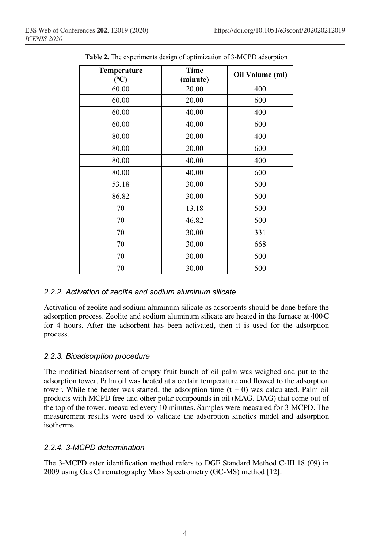| Temperature<br>(°C) | <b>Time</b><br>(minute) | Oil Volume (ml) |
|---------------------|-------------------------|-----------------|
| 60.00               | 20.00                   | 400             |
| 60.00               | 20.00                   | 600             |
| 60.00               | 40.00                   | 400             |
| 60.00               | 40.00                   | 600             |
| 80.00               | 20.00                   | 400             |
| 80.00               | 20.00                   | 600             |
| 80.00               | 40.00                   | 400             |
| 80.00               | 40.00                   | 600             |
| 53.18               | 30.00                   | 500             |
| 86.82               | 30.00                   | 500             |
| 70                  | 13.18                   | 500             |
| 70                  | 46.82                   | 500             |
| 70                  | 30.00                   | 331             |
| 70                  | 30.00                   | 668             |
| 70                  | 30.00                   | 500             |
| 70                  | 30.00                   | 500             |

**Table 2.** The experiments design of optimization of 3-MCPD adsorption

#### *2.2.2. Activation of zeolite and sodium aluminum silicate*

Activation of zeolite and sodium aluminum silicate as adsorbents should be done before the adsorption process. Zeolite and sodium aluminum silicate are heated in the furnace at  $400C$ for 4 hours. After the adsorbent has been activated, then it is used for the adsorption process.

### *2.2.3. Bioadsorption procedure*

The modified bioadsorbent of empty fruit bunch of oil palm was weighed and put to the adsorption tower. Palm oil was heated at a certain temperature and flowed to the adsorption tower. While the heater was started, the adsorption time  $(t = 0)$  was calculated. Palm oil products with MCPD free and other polar compounds in oil (MAG, DAG) that come out of the top of the tower, measured every 10 minutes. Samples were measured for 3-MCPD. The measurement results were used to validate the adsorption kinetics model and adsorption isotherms.

### *2.2.4. 3-MCPD determination*

The 3-MCPD ester identification method refers to DGF Standard Method C-III 18 (09) in 2009 using Gas Chromatography Mass Spectrometry (GC-MS) method [12].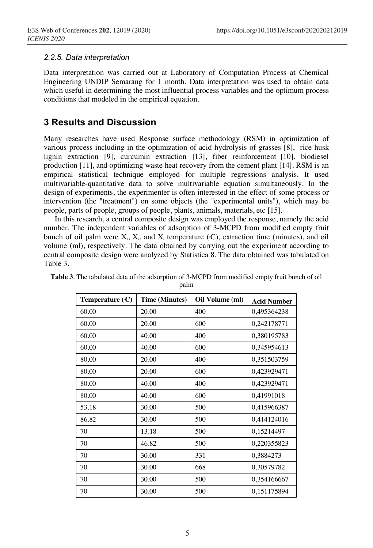#### *2.2.5. Data interpretation*

Data interpretation was carried out at Laboratory of Computation Process at Chemical Engineering UNDIP Semarang for 1 month. Data interpretation was used to obtain data which useful in determining the most influential process variables and the optimum process conditions that modeled in the empirical equation.

## **3 Results and Discussion**

Many researches have used Response surface methodology (RSM) in optimization of various process including in the optimization of acid hydrolysis of grasses [8], rice husk lignin extraction [9], curcumin extraction [13], fiber reinforcement [10], biodiesel production [11], and optimizing waste heat recovery from the cement plant [14]. RSM is an empirical statistical technique employed for multiple regressions analysis. It used multivariable-quantitative data to solve multivariable equation simultaneously. In the design of experiments, the experimenter is often interested in the effect of some process or intervention (the "treatment") on some objects (the "experimental units"), which may be people, parts of people, groups of people, plants, animals, materials, etc [15].

In this research, a central composite design was employed the response, namely the acid number. The independent variables of adsorption of 3-MCPD from modified empty fruit bunch of oil palm were  $X_i$ ,  $X_i$ , and  $X_i$  temperature (C), extraction time (minutes), and oil volume (ml), respectively. The data obtained by carrying out the experiment according to central composite design were analyzed by Statistica 8. The data obtained was tabulated on Table 3.

| Temperature (·C) | <b>Time (Minutes)</b> | Oil Volume (ml) | <b>Acid Number</b> |
|------------------|-----------------------|-----------------|--------------------|
| 60.00            | 20.00                 | 400             | 0,495364238        |
| 60.00            | 20.00                 | 600             | 0,242178771        |
| 60.00            | 40.00                 | 400             | 0,380195783        |
| 60.00            | 40.00                 | 600             | 0,345954613        |
| 80.00            | 20.00                 | 400             | 0,351503759        |
| 80.00            | 20.00                 | 600             | 0,423929471        |
| 80.00            | 40.00                 | 400             | 0,423929471        |
| 80.00            | 40.00                 | 600             | 0,41991018         |
| 53.18            | 30.00                 | 500             | 0,415966387        |
| 86.82            | 30.00                 | 500             | 0,414124016        |
| 70               | 13.18                 | 500             | 0,15214497         |
| 70               | 46.82                 | 500             | 0,220355823        |
| 70               | 30.00                 | 331             | 0,3884273          |
| 70               | 30.00                 | 668             | 0,30579782         |
| 70               | 30.00                 | 500             | 0,354166667        |
| 70               | 30.00                 | 500             | 0,151175894        |

**Table 3**. The tabulated data of the adsorption of 3-MCPD from modified empty fruit bunch of oil palm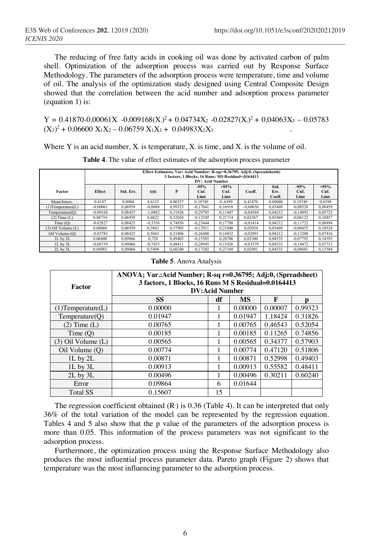The reducing of free fatty acids in cooking oil was done by activated carbon of palm shell. Optimization of the adsorption process was carried out by Response Surface Methodology. The parameters of the adsorption process were temperature, time and volume of oil. The analysis of the optimization study designed using Central Composite Design showed that the correlation between the acid number and adsorption process parameter (equation 1) is:

 $Y = 0.41870 - 0.00061X_1 - 0.009168(X_1)^2 + 0.04734X_2 - 0.02827(X_1)^2 + 0.04063X_3 - 0.05783$  $(X_3)^2 + 0.06600 X_1X_2 - 0.06759 X_1X_3 + 0.04983X_2X_3$ 

Where Y is an acid number,  $X_i$  is temperature,  $X_i$  is time, and  $X_i$  is the volume of oil.

|                         | Effect Estimates; Var: Acid Number; R-sqr=0,36795; Adj:0, (Spreadsheet6)<br>3 factors, 1 Blocks, 16 Runs: MS Residual=.0164413<br><b>DV: Acid Number</b> |           |           |         |                        |                        |            |                        |                        |                        |
|-------------------------|----------------------------------------------------------------------------------------------------------------------------------------------------------|-----------|-----------|---------|------------------------|------------------------|------------|------------------------|------------------------|------------------------|
| Factor                  | <b>Effect</b>                                                                                                                                            | Std. Err. | t(6)      | P       | $-95%$<br>Cnf.<br>Limt | $+95%$<br>Cnf.<br>Limt | Coeff.     | Std.<br>Err.<br>Coeff. | $-95%$<br>Cnf.<br>Limt | $+95%$<br>Cnf.<br>Limt |
| Mean/Interc.            | 0.4187                                                                                                                                                   | 0.0904    | 4.6315    | 0.00357 | 0.19749                | 0.6399                 | 0.41870    | 0.09040                | 0.19749                | 0.6399                 |
| $(1)$ Temperature $(L)$ | $-0.00061$                                                                                                                                               | 0.06939   | $-0.0088$ | 0.99323 | $-0.17041$             | 0.16918                | $-0.00030$ | 0.03469                | $-0.08520$             | 0,08459                |
| Temperature(O)          | $-0.09168$                                                                                                                                               | 0.08425   | $-1.0882$ | 0.31826 | $-0.29785$             | 0.11447                | $-0.04584$ | 0.04212                | $-0.14892$             | 0,05723                |
| $(2)$ Time $(L)$        | 0.04734                                                                                                                                                  | 0.06939   | 0.6822    | 0.52054 | $-0.12245$             | 0.21714                | 0.02367    | 0.03469                | $-0.06122$             | 0,10857                |
| Time (Q)                | $-0.02827$                                                                                                                                               | 0.08425   | $-0.3356$ | 0.74856 | $-0.23444$             | 0.17788                | $-0.01414$ | 0.04212                | $-0.11722$             | 0.08894                |
| $(3)$ Oil Volume $(L)$  | 0.04068                                                                                                                                                  | 0.06939   | 0.5863    | 0.57903 | $-0.12911$             | 0.21048                | 0.02034    | 0.03469                | $-0.06455$             | 0,10524                |
| Oil Volume (Q)          | $-0.05783$                                                                                                                                               | 0.08425   | 0.5863    | 0.51806 | $-0.26400$             | 0.14832                | $-0.02891$ | 0.04212                | $-0.13200$             | 0.07416                |
| 1L by 2L                | 0.06600                                                                                                                                                  | 0.09066   | 0.728     | 0.49403 | $-0.15585$             | 0.28786                | 0.03300    | 0.04533                | $-0.07792$             | 0.14393                |
| $1L$ by $3L$            | $-0.06759$                                                                                                                                               | 0.09066   | $-0.7455$ | 0.48411 | $-0.28945$             | 0.15426                | $-0.03379$ | 0.04533                | $-0.14472$             | 0,07713                |
| $2L$ by $3L$            | 0.04983                                                                                                                                                  | 0.09066   | 0.5496    | 0.60240 | $-0.17202$             | 0.27169                | 0.02491    | 0.04533                | $-0.08601$             | 0,13584                |

**Table 4**. The value of effect estimates of the adsorption process parameter

#### **Table 5**. Anova Analysis

| Factor                  | ANOVA; Var.:Acid Number; R-sq r=0.36795; Adj:0, (Spreadsheet)<br>3 factors, 1 Blocks, 16 Runs M S Residual=0.0164413<br><b>DV:Acid Number</b> |    |           |         |         |  |  |
|-------------------------|-----------------------------------------------------------------------------------------------------------------------------------------------|----|-----------|---------|---------|--|--|
|                         | <b>SS</b>                                                                                                                                     | df | <b>MS</b> | F       | p       |  |  |
| $(1)$ Temperature $(L)$ | 0.00000                                                                                                                                       |    | 0.00000   | 0.00007 | 0.99323 |  |  |
| Temperature(O)          | 0.01947                                                                                                                                       |    | 0.01947   | 1.18424 | 0.31826 |  |  |
| $(2)$ Time $(L)$        | 0.00765                                                                                                                                       |    | 0.00765   | 0.46543 | 0.52054 |  |  |
| Time (Q)                | 0.00185                                                                                                                                       |    | 0.00185   | 0.11265 | 0.74856 |  |  |
| $(3)$ Oil Volume $(L)$  | 0.00565                                                                                                                                       |    | 0.00565   | 0.34377 | 0.57903 |  |  |
| Oil Volume (O)          | 0.00774                                                                                                                                       |    | 0.00774   | 0.47120 | 0.51806 |  |  |
| $1L$ by $2L$            | 0.00871                                                                                                                                       |    | 0.00871   | 0.52998 | 0.49403 |  |  |
| $1L$ by $3L$            | 0.00913                                                                                                                                       |    | 0.00913   | 0.55582 | 0.48411 |  |  |
| $2L$ by $3L$            | 0.00496                                                                                                                                       |    | 0.00496   | 0.30211 | 0.60240 |  |  |
| Error                   | 0.09864                                                                                                                                       | 6  | 0.01644   |         |         |  |  |
| <b>Total SS</b>         | 0.15607                                                                                                                                       | 15 |           |         |         |  |  |

The regression coefficient obtained  $(R<sub>2</sub>)$  is 0.36 (Table 4). It can be interpreted that only 36% of the total variation of the model can be represented by the regression equation. Tables 4 and 5 also show that the p value of the parameters of the adsorption process is more than 0.05. This information of the process parameters was not significant to the adsorption process.

Furthermore, the optimization process using the Response Surface Methodology also produces the most influential process parameter data. Pareto graph (Figure 2) shows that temperature was the most influencing parameter to the adsorption process.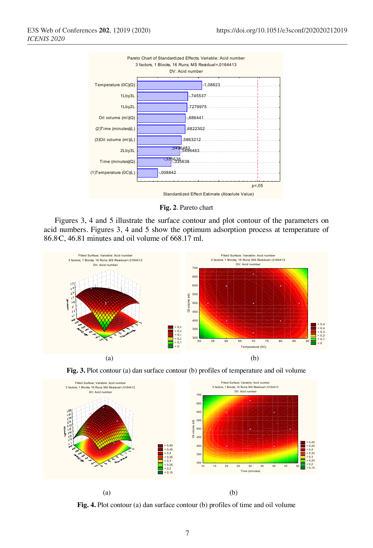

**Fig. 2**. Pareto chart

Figures 3, 4 and 5 illustrate the surface contour and plot contour of the parameters on acid numbers. Figures 3, 4 and 5 show the optimum adsorption process at temperature of 86.80 C, 46.81 minutes and oil volume of 668.17 ml.



**Fig. 3.** Plot contour (a) dan surface contour (b) profiles of temperature and oil volume



**Fig. 4.** Plot contour (a) dan surface contour (b) profiles of time and oil volume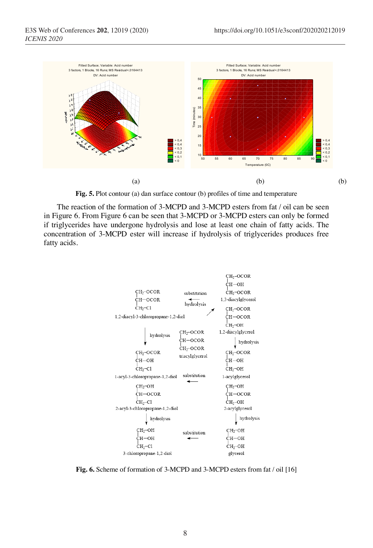

**Fig. 5.** Plot contour (a) dan surface contour (b) profiles of time and temperature

The reaction of the formation of 3-MCPD and 3-MCPD esters from fat / oil can be seen in Figure 6. From Figure 6 can be seen that 3-MCPD or 3-MCPD esters can only be formed if triglycerides have undergone hydrolysis and lose at least one chain of fatty acids. The concentration of 3-MCPD ester will increase if hydrolysis of triglycerides produces free fatty acids.



**Fig. 6.** Scheme of formation of 3-MCPD and 3-MCPD esters from fat / oil [16]